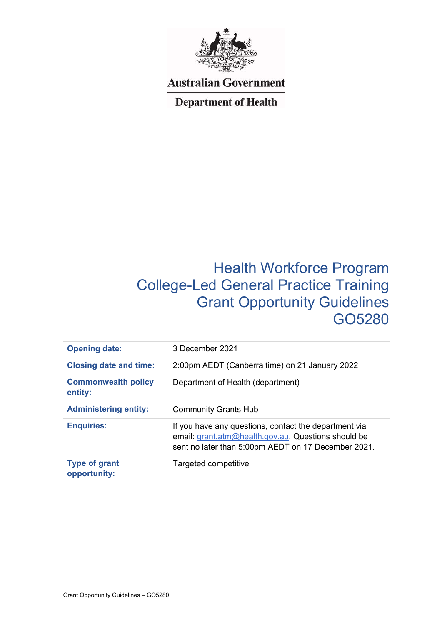

## **Australian Government**

## **Department of Health**

# Health Workforce Program College-Led General Practice Training Grant Opportunity Guidelines GO5280

| <b>Opening date:</b>                  | 3 December 2021                                                                                                                                                     |
|---------------------------------------|---------------------------------------------------------------------------------------------------------------------------------------------------------------------|
| <b>Closing date and time:</b>         | 2:00pm AEDT (Canberra time) on 21 January 2022                                                                                                                      |
| <b>Commonwealth policy</b><br>entity: | Department of Health (department)                                                                                                                                   |
| <b>Administering entity:</b>          | <b>Community Grants Hub</b>                                                                                                                                         |
| <b>Enquiries:</b>                     | If you have any questions, contact the department via<br>email: grant.atm@health.gov.au. Questions should be<br>sent no later than 5:00pm AEDT on 17 December 2021. |
| <b>Type of grant</b><br>opportunity:  | Targeted competitive                                                                                                                                                |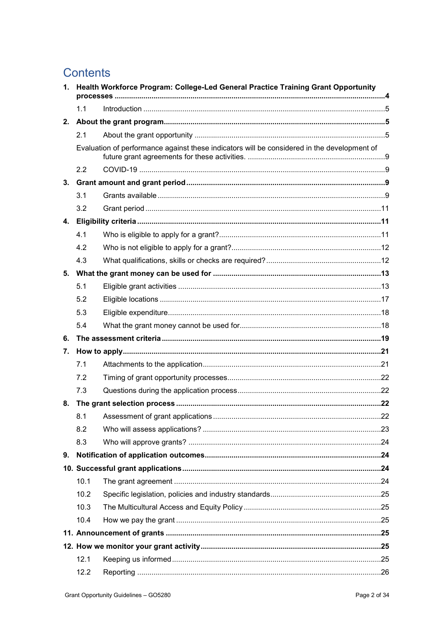# **Contents**

| 1.             | Health Workforce Program: College-Led General Practice Training Grant Opportunity |                                                                                             |  |
|----------------|-----------------------------------------------------------------------------------|---------------------------------------------------------------------------------------------|--|
|                | 1.1                                                                               |                                                                                             |  |
| 2.             |                                                                                   |                                                                                             |  |
|                | 2.1                                                                               |                                                                                             |  |
|                |                                                                                   | Evaluation of performance against these indicators will be considered in the development of |  |
|                | 2.2                                                                               |                                                                                             |  |
| 3.             |                                                                                   |                                                                                             |  |
|                | 3.1                                                                               |                                                                                             |  |
|                | 3.2                                                                               |                                                                                             |  |
| $\mathbf{4}$ . |                                                                                   |                                                                                             |  |
|                | 4.1                                                                               |                                                                                             |  |
|                | 4.2                                                                               |                                                                                             |  |
|                | 4.3                                                                               |                                                                                             |  |
| 5.             |                                                                                   |                                                                                             |  |
|                | 5.1                                                                               |                                                                                             |  |
|                | 5.2                                                                               |                                                                                             |  |
|                | 5.3                                                                               |                                                                                             |  |
|                | 5.4                                                                               |                                                                                             |  |
| 6.             |                                                                                   |                                                                                             |  |
| 7.             |                                                                                   |                                                                                             |  |
|                | 7.1                                                                               |                                                                                             |  |
|                | 7.2                                                                               |                                                                                             |  |
|                | 7.3                                                                               |                                                                                             |  |
| 8.             |                                                                                   |                                                                                             |  |
|                | 8.1                                                                               |                                                                                             |  |
|                | 8.2                                                                               |                                                                                             |  |
|                | 8.3                                                                               |                                                                                             |  |
| 9.             |                                                                                   |                                                                                             |  |
|                |                                                                                   |                                                                                             |  |
|                | 10.1                                                                              |                                                                                             |  |
|                | 10.2                                                                              |                                                                                             |  |
|                | 10.3                                                                              |                                                                                             |  |
|                | 10.4                                                                              |                                                                                             |  |
|                |                                                                                   |                                                                                             |  |
|                |                                                                                   |                                                                                             |  |
|                | 12.1                                                                              |                                                                                             |  |
|                | 12.2                                                                              |                                                                                             |  |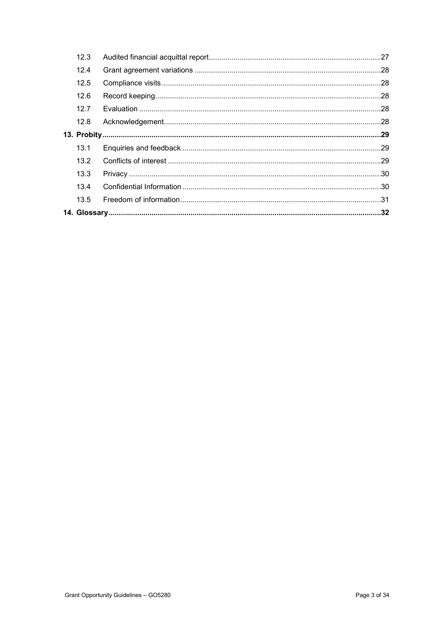| 12.3 |  |
|------|--|
| 12.4 |  |
| 12.5 |  |
| 12.6 |  |
| 12.7 |  |
| 12.8 |  |
|      |  |
| 13.1 |  |
| 13.2 |  |
|      |  |
| 13.3 |  |
| 13.4 |  |
| 13.5 |  |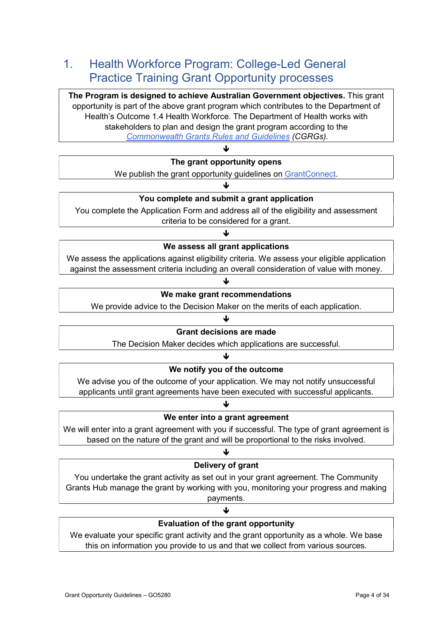## 1. Health Workforce Program: College-Led General Practice Training Grant Opportunity processes

The Program is designed to achieve Australian Government objectives. This grant opportunity is part of the above grant program which contributes to the Department of Health's Outcome 1.4 Health Workforce. The Department of Health works with stakeholders to plan and design the grant program according to the Commonwealth Grants Rules and Guidelines (CGRGs).

### ↓ The grant opportunity opens

We publish the grant opportunity guidelines on GrantConnect. J

### You complete and submit a grant application

You complete the Application Form and address all of the eligibility and assessment criteria to be considered for a grant.

## J We assess all grant applications

We assess the applications against eligibility criteria. We assess your eligible application against the assessment criteria including an overall consideration of value with money.

### ↓ We make grant recommendations

We provide advice to the Decision Maker on the merits of each application.

#### ۰L

### Grant decisions are made

The Decision Maker decides which applications are successful.

### 业 We notify you of the outcome

We advise you of the outcome of your application. We may not notify unsuccessful applicants until grant agreements have been executed with successful applicants.

### We enter into a grant agreement

 $\downarrow$ 

We will enter into a grant agreement with you if successful. The type of grant agreement is based on the nature of the grant and will be proportional to the risks involved.

## 业

### Delivery of grant

You undertake the grant activity as set out in your grant agreement. The Community Grants Hub manage the grant by working with you, monitoring your progress and making payments.

### J

### Evaluation of the grant opportunity

We evaluate your specific grant activity and the grant opportunity as a whole. We base this on information you provide to us and that we collect from various sources.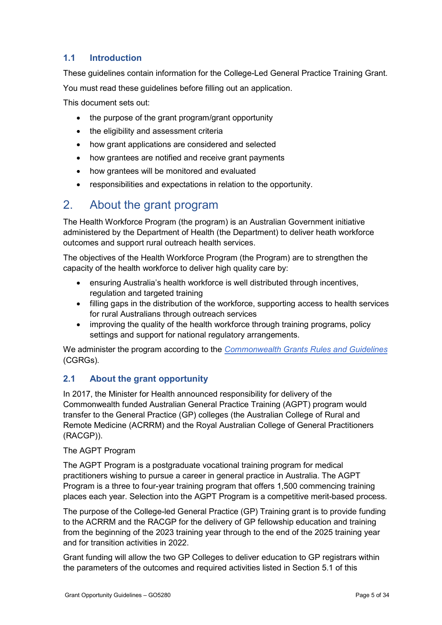### 1.1 Introduction

These guidelines contain information for the College-Led General Practice Training Grant. You must read these guidelines before filling out an application.

This document sets out:

- the purpose of the grant program/grant opportunity
- the eligibility and assessment criteria
- how grant applications are considered and selected
- how grantees are notified and receive grant payments
- how grantees will be monitored and evaluated
- responsibilities and expectations in relation to the opportunity.

## 2. About the grant program

The Health Workforce Program (the program) is an Australian Government initiative administered by the Department of Health (the Department) to deliver heath workforce outcomes and support rural outreach health services.

The objectives of the Health Workforce Program (the Program) are to strengthen the capacity of the health workforce to deliver high quality care by:

- ensuring Australia's health workforce is well distributed through incentives, regulation and targeted training
- filling gaps in the distribution of the workforce, supporting access to health services for rural Australians through outreach services
- improving the quality of the health workforce through training programs, policy settings and support for national regulatory arrangements.

We administer the program according to the *Commonwealth Grants Rules and Guidelines* (CGRGs).

### 2.1 About the grant opportunity

In 2017, the Minister for Health announced responsibility for delivery of the Commonwealth funded Australian General Practice Training (AGPT) program would transfer to the General Practice (GP) colleges (the Australian College of Rural and Remote Medicine (ACRRM) and the Royal Australian College of General Practitioners (RACGP)).

### The AGPT Program

The AGPT Program is a postgraduate vocational training program for medical practitioners wishing to pursue a career in general practice in Australia. The AGPT Program is a three to four-year training program that offers 1,500 commencing training places each year. Selection into the AGPT Program is a competitive merit-based process.

The purpose of the College-led General Practice (GP) Training grant is to provide funding to the ACRRM and the RACGP for the delivery of GP fellowship education and training from the beginning of the 2023 training year through to the end of the 2025 training year and for transition activities in 2022.

Grant funding will allow the two GP Colleges to deliver education to GP registrars within the parameters of the outcomes and required activities listed in Section 5.1 of this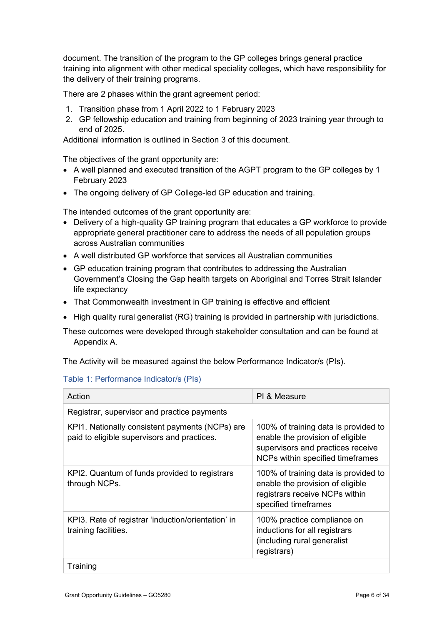document. The transition of the program to the GP colleges brings general practice training into alignment with other medical speciality colleges, which have responsibility for the delivery of their training programs.

There are 2 phases within the grant agreement period:

- 1. Transition phase from 1 April 2022 to 1 February 2023
- 2. GP fellowship education and training from beginning of 2023 training year through to end of 2025.

Additional information is outlined in Section 3 of this document.

The objectives of the grant opportunity are:

- A well planned and executed transition of the AGPT program to the GP colleges by 1 February 2023
- The ongoing delivery of GP College-led GP education and training.

The intended outcomes of the grant opportunity are:

- Delivery of a high-quality GP training program that educates a GP workforce to provide appropriate general practitioner care to address the needs of all population groups across Australian communities
- A well distributed GP workforce that services all Australian communities
- GP education training program that contributes to addressing the Australian Government's Closing the Gap health targets on Aboriginal and Torres Strait Islander life expectancy
- That Commonwealth investment in GP training is effective and efficient
- $\bullet$  High quality rural generalist (RG) training is provided in partnership with jurisdictions.

These outcomes were developed through stakeholder consultation and can be found at Appendix A.

The Activity will be measured against the below Performance Indicator/s (PIs).

### Table 1: Performance Indicator/s (PIs)

| Action                                                                                         | PI & Measure                                                                                                                                      |
|------------------------------------------------------------------------------------------------|---------------------------------------------------------------------------------------------------------------------------------------------------|
| Registrar, supervisor and practice payments                                                    |                                                                                                                                                   |
| KPI1. Nationally consistent payments (NCPs) are<br>paid to eligible supervisors and practices. | 100% of training data is provided to<br>enable the provision of eligible<br>supervisors and practices receive<br>NCPs within specified timeframes |
| KPI2. Quantum of funds provided to registrars<br>through NCPs.                                 | 100% of training data is provided to<br>enable the provision of eligible<br>registrars receive NCPs within<br>specified timeframes                |
| KPI3. Rate of registrar 'induction/orientation' in<br>training facilities.                     | 100% practice compliance on<br>inductions for all registrars<br>(including rural generalist<br>registrars)                                        |
| Training                                                                                       |                                                                                                                                                   |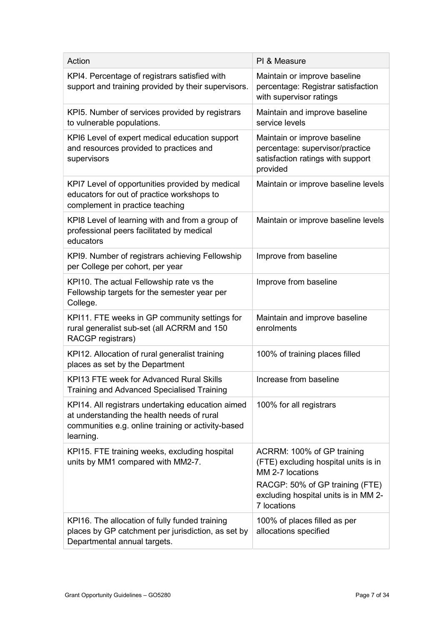| Action                                                                                                                                                             | PI & Measure                                                                                                                                                                     |
|--------------------------------------------------------------------------------------------------------------------------------------------------------------------|----------------------------------------------------------------------------------------------------------------------------------------------------------------------------------|
| KPI4. Percentage of registrars satisfied with<br>support and training provided by their supervisors.                                                               | Maintain or improve baseline<br>percentage: Registrar satisfaction<br>with supervisor ratings                                                                                    |
| KPI5. Number of services provided by registrars<br>to vulnerable populations.                                                                                      | Maintain and improve baseline<br>service levels                                                                                                                                  |
| KPI6 Level of expert medical education support<br>and resources provided to practices and<br>supervisors                                                           | Maintain or improve baseline<br>percentage: supervisor/practice<br>satisfaction ratings with support<br>provided                                                                 |
| KPI7 Level of opportunities provided by medical<br>educators for out of practice workshops to<br>complement in practice teaching                                   | Maintain or improve baseline levels                                                                                                                                              |
| KPI8 Level of learning with and from a group of<br>professional peers facilitated by medical<br>educators                                                          | Maintain or improve baseline levels                                                                                                                                              |
| KPI9. Number of registrars achieving Fellowship<br>per College per cohort, per year                                                                                | Improve from baseline                                                                                                                                                            |
| KPI10. The actual Fellowship rate vs the<br>Fellowship targets for the semester year per<br>College.                                                               | Improve from baseline                                                                                                                                                            |
| KPI11. FTE weeks in GP community settings for<br>rural generalist sub-set (all ACRRM and 150<br>RACGP registrars)                                                  | Maintain and improve baseline<br>enrolments                                                                                                                                      |
| KPI12. Allocation of rural generalist training<br>places as set by the Department                                                                                  | 100% of training places filled                                                                                                                                                   |
| <b>KPI13 FTE week for Advanced Rural Skills</b><br><b>Training and Advanced Specialised Training</b>                                                               | Increase from baseline                                                                                                                                                           |
| KPI14. All registrars undertaking education aimed<br>at understanding the health needs of rural<br>communities e.g. online training or activity-based<br>learning. | 100% for all registrars                                                                                                                                                          |
| KPI15. FTE training weeks, excluding hospital<br>units by MM1 compared with MM2-7.                                                                                 | ACRRM: 100% of GP training<br>(FTE) excluding hospital units is in<br>MM 2-7 locations<br>RACGP: 50% of GP training (FTE)<br>excluding hospital units is in MM 2-<br>7 locations |
| KPI16. The allocation of fully funded training<br>places by GP catchment per jurisdiction, as set by<br>Departmental annual targets.                               | 100% of places filled as per<br>allocations specified                                                                                                                            |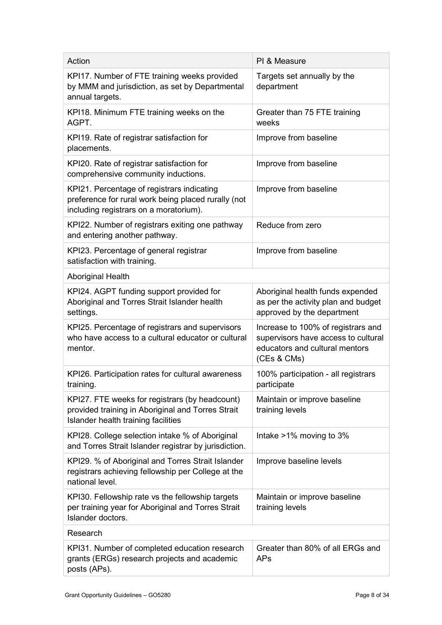| Action                                                                                                                                      | PI & Measure                                                                                                               |
|---------------------------------------------------------------------------------------------------------------------------------------------|----------------------------------------------------------------------------------------------------------------------------|
| KPI17. Number of FTE training weeks provided<br>by MMM and jurisdiction, as set by Departmental<br>annual targets.                          | Targets set annually by the<br>department                                                                                  |
| KPI18. Minimum FTE training weeks on the<br>AGPT.                                                                                           | Greater than 75 FTE training<br>weeks                                                                                      |
| KPI19. Rate of registrar satisfaction for<br>placements.                                                                                    | Improve from baseline                                                                                                      |
| KPI20. Rate of registrar satisfaction for<br>comprehensive community inductions.                                                            | Improve from baseline                                                                                                      |
| KPI21. Percentage of registrars indicating<br>preference for rural work being placed rurally (not<br>including registrars on a moratorium). | Improve from baseline                                                                                                      |
| KPI22. Number of registrars exiting one pathway<br>and entering another pathway.                                                            | Reduce from zero                                                                                                           |
| KPI23. Percentage of general registrar<br>satisfaction with training.                                                                       | Improve from baseline                                                                                                      |
| <b>Aboriginal Health</b>                                                                                                                    |                                                                                                                            |
| KPI24. AGPT funding support provided for<br>Aboriginal and Torres Strait Islander health<br>settings.                                       | Aboriginal health funds expended<br>as per the activity plan and budget<br>approved by the department                      |
| KPI25. Percentage of registrars and supervisors<br>who have access to a cultural educator or cultural<br>mentor.                            | Increase to 100% of registrars and<br>supervisors have access to cultural<br>educators and cultural mentors<br>(CEs & CMs) |
| KPI26. Participation rates for cultural awareness<br>training.                                                                              | 100% participation - all registrars<br>participate                                                                         |
| KPI27. FTE weeks for registrars (by headcount)<br>provided training in Aboriginal and Torres Strait<br>Islander health training facilities  | Maintain or improve baseline<br>training levels                                                                            |
| KPI28. College selection intake % of Aboriginal<br>and Torres Strait Islander registrar by jurisdiction.                                    | Intake >1% moving to 3%                                                                                                    |
| KPI29. % of Aboriginal and Torres Strait Islander<br>registrars achieving fellowship per College at the<br>national level.                  | Improve baseline levels                                                                                                    |
| KPI30. Fellowship rate vs the fellowship targets<br>per training year for Aboriginal and Torres Strait<br>Islander doctors.                 | Maintain or improve baseline<br>training levels                                                                            |
| Research                                                                                                                                    |                                                                                                                            |
| KPI31. Number of completed education research<br>grants (ERGs) research projects and academic<br>posts (APs).                               | Greater than 80% of all ERGs and<br><b>APs</b>                                                                             |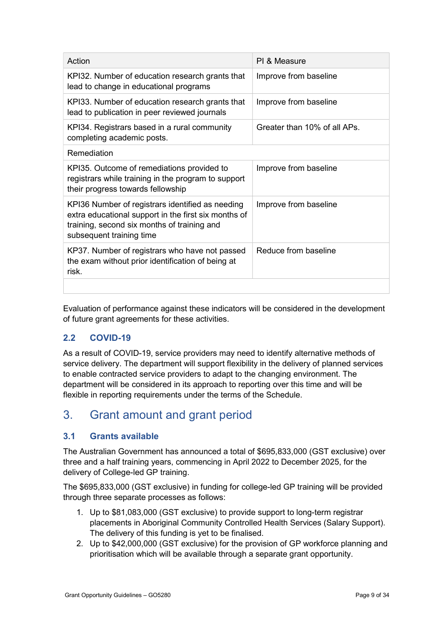| Action                                                                                                                                                                              | PI & Measure                 |
|-------------------------------------------------------------------------------------------------------------------------------------------------------------------------------------|------------------------------|
| KPI32. Number of education research grants that<br>lead to change in educational programs                                                                                           | Improve from baseline        |
| KPI33. Number of education research grants that<br>lead to publication in peer reviewed journals                                                                                    | Improve from baseline        |
| KPI34. Registrars based in a rural community<br>completing academic posts.                                                                                                          | Greater than 10% of all APs. |
| Remediation                                                                                                                                                                         |                              |
| KPI35. Outcome of remediations provided to<br>registrars while training in the program to support<br>their progress towards fellowship                                              | Improve from baseline        |
| KPI36 Number of registrars identified as needing<br>extra educational support in the first six months of<br>training, second six months of training and<br>subsequent training time | Improve from baseline        |
| KP37. Number of registrars who have not passed<br>the exam without prior identification of being at<br>risk.                                                                        | Reduce from baseline         |
|                                                                                                                                                                                     |                              |

Evaluation of performance against these indicators will be considered in the development of future grant agreements for these activities.

## 2.2 COVID-19

As a result of COVID-19, service providers may need to identify alternative methods of service delivery. The department will support flexibility in the delivery of planned services to enable contracted service providers to adapt to the changing environment. The department will be considered in its approach to reporting over this time and will be flexible in reporting requirements under the terms of the Schedule.

## 3. Grant amount and grant period

## 3.1 Grants available

The Australian Government has announced a total of \$695,833,000 (GST exclusive) over three and a half training years, commencing in April 2022 to December 2025, for the delivery of College-led GP training.

The \$695,833,000 (GST exclusive) in funding for college-led GP training will be provided through three separate processes as follows:

- 1. Up to \$81,083,000 (GST exclusive) to provide support to long-term registrar placements in Aboriginal Community Controlled Health Services (Salary Support). The delivery of this funding is yet to be finalised.
- 2. Up to \$42,000,000 (GST exclusive) for the provision of GP workforce planning and prioritisation which will be available through a separate grant opportunity.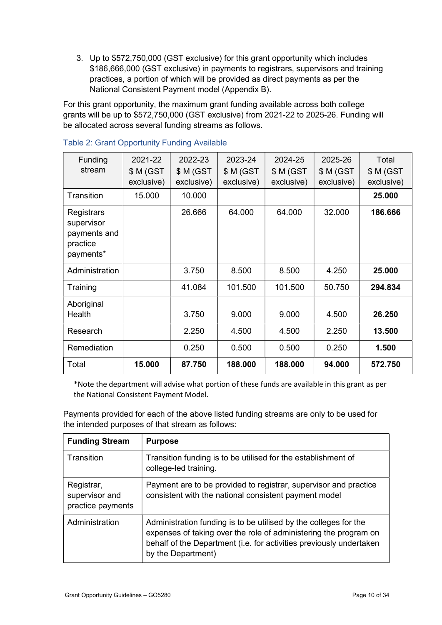3. Up to \$572,750,000 (GST exclusive) for this grant opportunity which includes \$186,666,000 (GST exclusive) in payments to registrars, supervisors and training practices, a portion of which will be provided as direct payments as per the National Consistent Payment model (Appendix B).

For this grant opportunity, the maximum grant funding available across both college grants will be up to \$572,750,000 (GST exclusive) from 2021-22 to 2025-26. Funding will be allocated across several funding streams as follows.

| <b>Funding</b>                                                    | 2021-22    | 2022-23    | 2023-24    | 2024-25    | 2025-26    | Total      |
|-------------------------------------------------------------------|------------|------------|------------|------------|------------|------------|
| stream                                                            | \$ M (GST  | \$M(GST)   | \$M(GST)   | \$M(GST)   | \$M(GST)   | \$M(GST)   |
|                                                                   | exclusive) | exclusive) | exclusive) | exclusive) | exclusive) | exclusive) |
| Transition                                                        | 15.000     | 10.000     |            |            |            | 25.000     |
| Registrars<br>supervisor<br>payments and<br>practice<br>payments* |            | 26.666     | 64.000     | 64.000     | 32.000     | 186,666    |
| Administration                                                    |            | 3.750      | 8.500      | 8.500      | 4.250      | 25.000     |
| Training                                                          |            | 41.084     | 101.500    | 101.500    | 50.750     | 294.834    |
| Aboriginal<br>Health                                              |            | 3.750      | 9.000      | 9.000      | 4.500      | 26.250     |
| Research                                                          |            | 2.250      | 4.500      | 4.500      | 2.250      | 13.500     |
| Remediation                                                       |            | 0.250      | 0.500      | 0.500      | 0.250      | 1.500      |
| Total                                                             | 15.000     | 87.750     | 188.000    | 188.000    | 94.000     | 572.750    |

#### Table 2: Grant Opportunity Funding Available

\*Note the department will advise what portion of these funds are available in this grant as per the National Consistent Payment Model.

Payments provided for each of the above listed funding streams are only to be used for the intended purposes of that stream as follows:

| <b>Funding Stream</b>                             | <b>Purpose</b>                                                                                                                                                                                                                    |
|---------------------------------------------------|-----------------------------------------------------------------------------------------------------------------------------------------------------------------------------------------------------------------------------------|
| Transition                                        | Transition funding is to be utilised for the establishment of<br>college-led training.                                                                                                                                            |
| Registrar,<br>supervisor and<br>practice payments | Payment are to be provided to registrar, supervisor and practice<br>consistent with the national consistent payment model                                                                                                         |
| Administration                                    | Administration funding is to be utilised by the colleges for the<br>expenses of taking over the role of administering the program on<br>behalf of the Department (i.e. for activities previously undertaken<br>by the Department) |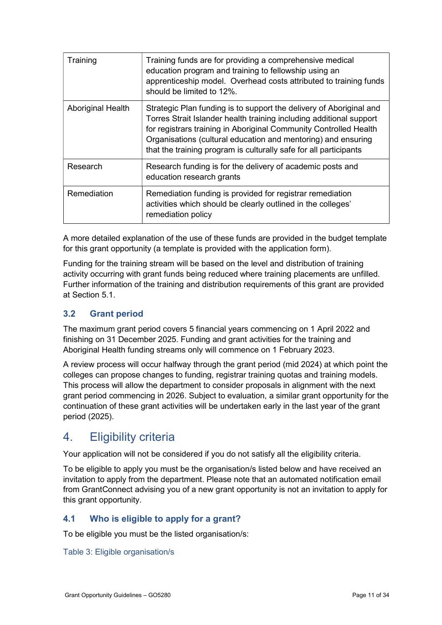| Training          | Training funds are for providing a comprehensive medical<br>education program and training to fellowship using an<br>apprenticeship model. Overhead costs attributed to training funds<br>should be limited to 12%.                                                                                                                                   |
|-------------------|-------------------------------------------------------------------------------------------------------------------------------------------------------------------------------------------------------------------------------------------------------------------------------------------------------------------------------------------------------|
| Aboriginal Health | Strategic Plan funding is to support the delivery of Aboriginal and<br>Torres Strait Islander health training including additional support<br>for registrars training in Aboriginal Community Controlled Health<br>Organisations (cultural education and mentoring) and ensuring<br>that the training program is culturally safe for all participants |
| Research          | Research funding is for the delivery of academic posts and<br>education research grants                                                                                                                                                                                                                                                               |
| Remediation       | Remediation funding is provided for registrar remediation<br>activities which should be clearly outlined in the colleges'<br>remediation policy                                                                                                                                                                                                       |

A more detailed explanation of the use of these funds are provided in the budget template for this grant opportunity (a template is provided with the application form).

Funding for the training stream will be based on the level and distribution of training activity occurring with grant funds being reduced where training placements are unfilled. Further information of the training and distribution requirements of this grant are provided at Section 5.1.

## 3.2 Grant period

The maximum grant period covers 5 financial years commencing on 1 April 2022 and finishing on 31 December 2025. Funding and grant activities for the training and Aboriginal Health funding streams only will commence on 1 February 2023.

A review process will occur halfway through the grant period (mid 2024) at which point the colleges can propose changes to funding, registrar training quotas and training models. This process will allow the department to consider proposals in alignment with the next grant period commencing in 2026. Subject to evaluation, a similar grant opportunity for the continuation of these grant activities will be undertaken early in the last year of the grant period (2025).

## 4. Eligibility criteria

Your application will not be considered if you do not satisfy all the eligibility criteria.

To be eligible to apply you must be the organisation/s listed below and have received an invitation to apply from the department. Please note that an automated notification email from GrantConnect advising you of a new grant opportunity is not an invitation to apply for this grant opportunity.

### 4.1 Who is eligible to apply for a grant?

To be eligible you must be the listed organisation/s:

### Table 3: Eligible organisation/s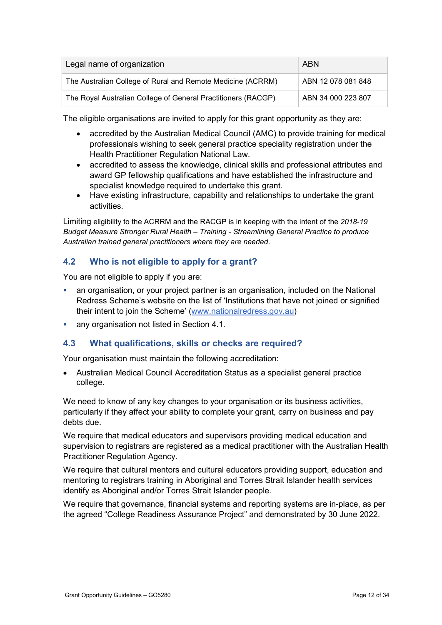| Legal name of organization                                    | <b>ABN</b>         |
|---------------------------------------------------------------|--------------------|
| The Australian College of Rural and Remote Medicine (ACRRM)   | ABN 12 078 081 848 |
| The Royal Australian College of General Practitioners (RACGP) | ABN 34 000 223 807 |

The eligible organisations are invited to apply for this grant opportunity as they are:

- accredited by the Australian Medical Council (AMC) to provide training for medical professionals wishing to seek general practice speciality registration under the Health Practitioner Regulation National Law.
- accredited to assess the knowledge, clinical skills and professional attributes and award GP fellowship qualifications and have established the infrastructure and specialist knowledge required to undertake this grant.
- Have existing infrastructure, capability and relationships to undertake the grant activities.

Limiting eligibility to the ACRRM and the RACGP is in keeping with the intent of the 2018-19 Budget Measure Stronger Rural Health – Training - Streamlining General Practice to produce Australian trained general practitioners where they are needed.

## 4.2 Who is not eligible to apply for a grant?

You are not eligible to apply if you are:

- an organisation, or your project partner is an organisation, included on the National Redress Scheme's website on the list of 'Institutions that have not joined or signified their intent to join the Scheme' (www.nationalredress.gov.au)
- any organisation not listed in Section 4.1.

### 4.3 What qualifications, skills or checks are required?

Your organisation must maintain the following accreditation:

 Australian Medical Council Accreditation Status as a specialist general practice college.

We need to know of any key changes to your organisation or its business activities, particularly if they affect your ability to complete your grant, carry on business and pay debts due.

We require that medical educators and supervisors providing medical education and supervision to registrars are registered as a medical practitioner with the Australian Health Practitioner Regulation Agency.

We require that cultural mentors and cultural educators providing support, education and mentoring to registrars training in Aboriginal and Torres Strait Islander health services identify as Aboriginal and/or Torres Strait Islander people.

We require that governance, financial systems and reporting systems are in-place, as per the agreed "College Readiness Assurance Project" and demonstrated by 30 June 2022.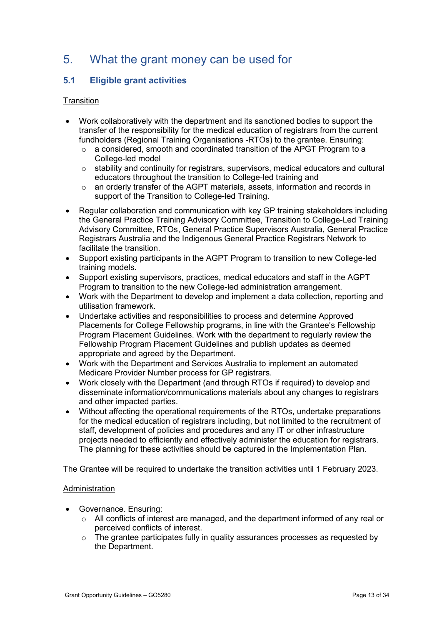## 5. What the grant money can be used for

## 5.1 Eligible grant activities

### **Transition**

- Work collaboratively with the department and its sanctioned bodies to support the transfer of the responsibility for the medical education of registrars from the current fundholders (Regional Training Organisations -RTOs) to the grantee. Ensuring:
	- $\circ$  a considered, smooth and coordinated transition of the APGT Program to a College-led model
	- $\circ$  stability and continuity for registrars, supervisors, medical educators and cultural educators throughout the transition to College-led training and
	- o an orderly transfer of the AGPT materials, assets, information and records in support of the Transition to College-led Training.
- Regular collaboration and communication with key GP training stakeholders including the General Practice Training Advisory Committee, Transition to College-Led Training Advisory Committee, RTOs, General Practice Supervisors Australia, General Practice Registrars Australia and the Indigenous General Practice Registrars Network to facilitate the transition.
- Support existing participants in the AGPT Program to transition to new College-led training models.
- Support existing supervisors, practices, medical educators and staff in the AGPT Program to transition to the new College-led administration arrangement.
- Work with the Department to develop and implement a data collection, reporting and utilisation framework.
- Undertake activities and responsibilities to process and determine Approved Placements for College Fellowship programs, in line with the Grantee's Fellowship Program Placement Guidelines. Work with the department to regularly review the Fellowship Program Placement Guidelines and publish updates as deemed appropriate and agreed by the Department.
- Work with the Department and Services Australia to implement an automated Medicare Provider Number process for GP registrars.
- Work closely with the Department (and through RTOs if required) to develop and disseminate information/communications materials about any changes to registrars and other impacted parties.
- Without affecting the operational requirements of the RTOs, undertake preparations for the medical education of registrars including, but not limited to the recruitment of staff, development of policies and procedures and any IT or other infrastructure projects needed to efficiently and effectively administer the education for registrars. The planning for these activities should be captured in the Implementation Plan.

The Grantee will be required to undertake the transition activities until 1 February 2023.

### Administration

- Governance. Ensuring:
	- $\circ$  All conflicts of interest are managed, and the department informed of any real or perceived conflicts of interest.
	- $\circ$  The grantee participates fully in quality assurances processes as requested by the Department.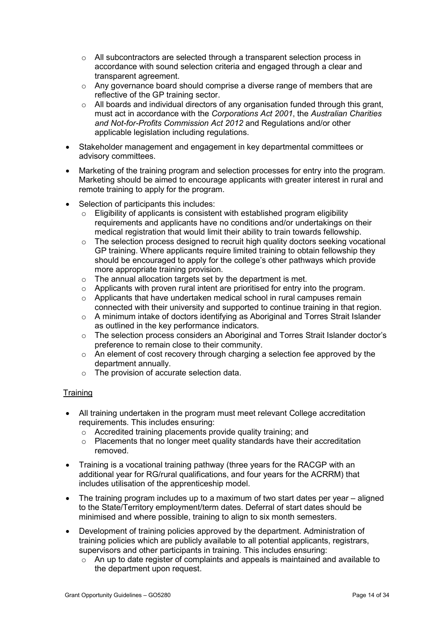- o All subcontractors are selected through a transparent selection process in accordance with sound selection criteria and engaged through a clear and transparent agreement.
- $\circ$  Any governance board should comprise a diverse range of members that are reflective of the GP training sector.
- o All boards and individual directors of any organisation funded through this grant, must act in accordance with the Corporations Act 2001, the Australian Charities and Not-for-Profits Commission Act 2012 and Regulations and/or other applicable legislation including regulations.
- Stakeholder management and engagement in key departmental committees or advisory committees.
- Marketing of the training program and selection processes for entry into the program. Marketing should be aimed to encourage applicants with greater interest in rural and remote training to apply for the program.
- Selection of participants this includes:
	- $\circ$  Eligibility of applicants is consistent with established program eligibility requirements and applicants have no conditions and/or undertakings on their medical registration that would limit their ability to train towards fellowship.
	- $\circ$  The selection process designed to recruit high quality doctors seeking vocational GP training. Where applicants require limited training to obtain fellowship they should be encouraged to apply for the college's other pathways which provide more appropriate training provision.
	- $\circ$  The annual allocation targets set by the department is met.
	- o Applicants with proven rural intent are prioritised for entry into the program.
	- $\circ$  Applicants that have undertaken medical school in rural campuses remain connected with their university and supported to continue training in that region.
	- $\circ$  A minimum intake of doctors identifying as Aboriginal and Torres Strait Islander as outlined in the key performance indicators.
	- $\circ$  The selection process considers an Aboriginal and Torres Strait Islander doctor's preference to remain close to their community.
	- $\circ$  An element of cost recovery through charging a selection fee approved by the department annually.
	- o The provision of accurate selection data.

### **Training**

- All training undertaken in the program must meet relevant College accreditation requirements. This includes ensuring:
	- o Accredited training placements provide quality training; and
	- $\circ$  Placements that no longer meet quality standards have their accreditation removed.
- Training is a vocational training pathway (three years for the RACGP with an additional year for RG/rural qualifications, and four years for the ACRRM) that includes utilisation of the apprenticeship model.
- The training program includes up to a maximum of two start dates per year aligned to the State/Territory employment/term dates. Deferral of start dates should be minimised and where possible, training to align to six month semesters.
- Development of training policies approved by the department. Administration of training policies which are publicly available to all potential applicants, registrars, supervisors and other participants in training. This includes ensuring:
	- o An up to date register of complaints and appeals is maintained and available to the department upon request.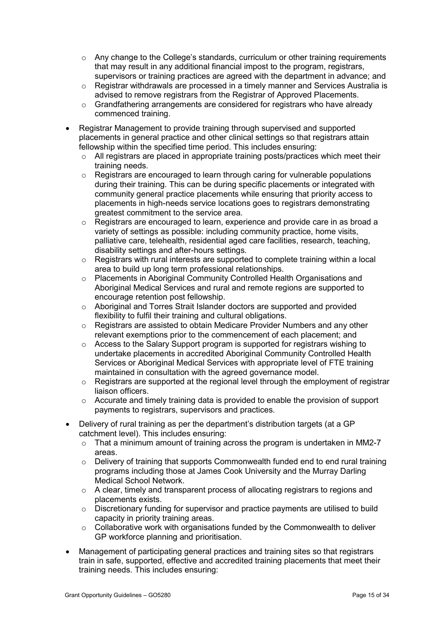- o Any change to the College's standards, curriculum or other training requirements that may result in any additional financial impost to the program, registrars, supervisors or training practices are agreed with the department in advance; and
- o Registrar withdrawals are processed in a timely manner and Services Australia is advised to remove registrars from the Registrar of Approved Placements.
- o Grandfathering arrangements are considered for registrars who have already commenced training.
- Registrar Management to provide training through supervised and supported placements in general practice and other clinical settings so that registrars attain fellowship within the specified time period. This includes ensuring:
	- o All registrars are placed in appropriate training posts/practices which meet their training needs.
	- $\circ$  Registrars are encouraged to learn through caring for vulnerable populations during their training. This can be during specific placements or integrated with community general practice placements while ensuring that priority access to placements in high-needs service locations goes to registrars demonstrating greatest commitment to the service area.
	- $\circ$  Registrars are encouraged to learn, experience and provide care in as broad a variety of settings as possible: including community practice, home visits, palliative care, telehealth, residential aged care facilities, research, teaching, disability settings and after-hours settings.
	- o Registrars with rural interests are supported to complete training within a local area to build up long term professional relationships.
	- o Placements in Aboriginal Community Controlled Health Organisations and Aboriginal Medical Services and rural and remote regions are supported to encourage retention post fellowship.
	- o Aboriginal and Torres Strait Islander doctors are supported and provided flexibility to fulfil their training and cultural obligations.
	- $\circ$  Registrars are assisted to obtain Medicare Provider Numbers and any other relevant exemptions prior to the commencement of each placement; and
	- o Access to the Salary Support program is supported for registrars wishing to undertake placements in accredited Aboriginal Community Controlled Health Services or Aboriginal Medical Services with appropriate level of FTE training maintained in consultation with the agreed governance model.
	- o Registrars are supported at the regional level through the employment of registrar liaison officers.
	- o Accurate and timely training data is provided to enable the provision of support payments to registrars, supervisors and practices.
- Delivery of rural training as per the department's distribution targets (at a GP catchment level). This includes ensuring:
	- o That a minimum amount of training across the program is undertaken in MM2-7 areas.
	- $\circ$  Delivery of training that supports Commonwealth funded end to end rural training programs including those at James Cook University and the Murray Darling Medical School Network.
	- $\circ$  A clear, timely and transparent process of allocating registrars to regions and placements exists.
	- $\circ$  Discretionary funding for supervisor and practice payments are utilised to build capacity in priority training areas.
	- $\circ$  Collaborative work with organisations funded by the Commonwealth to deliver GP workforce planning and prioritisation.
- Management of participating general practices and training sites so that registrars train in safe, supported, effective and accredited training placements that meet their training needs. This includes ensuring: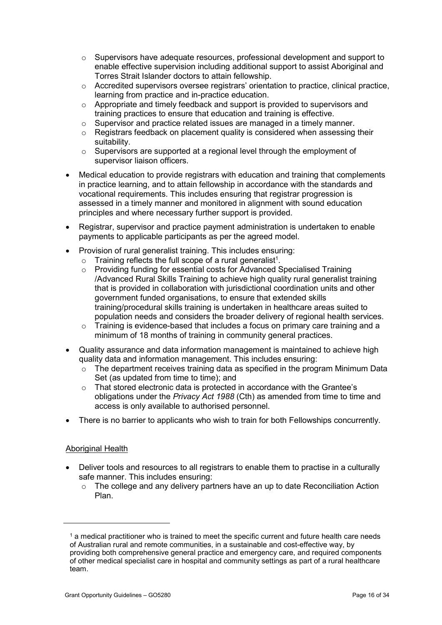- o Supervisors have adequate resources, professional development and support to enable effective supervision including additional support to assist Aboriginal and Torres Strait Islander doctors to attain fellowship.
- o Accredited supervisors oversee registrars' orientation to practice, clinical practice, learning from practice and in-practice education.
- o Appropriate and timely feedback and support is provided to supervisors and training practices to ensure that education and training is effective.
- $\circ$  Supervisor and practice related issues are managed in a timely manner.
- o Registrars feedback on placement quality is considered when assessing their suitability.
- $\circ$  Supervisors are supported at a regional level through the employment of supervisor liaison officers.
- Medical education to provide registrars with education and training that complements in practice learning, and to attain fellowship in accordance with the standards and vocational requirements. This includes ensuring that registrar progression is assessed in a timely manner and monitored in alignment with sound education principles and where necessary further support is provided.
- Registrar, supervisor and practice payment administration is undertaken to enable payments to applicable participants as per the agreed model.
- Provision of rural generalist training. This includes ensuring:
	- $\circ$  Training reflects the full scope of a rural generalist<sup>1</sup>.
	- o Providing funding for essential costs for Advanced Specialised Training /Advanced Rural Skills Training to achieve high quality rural generalist training that is provided in collaboration with jurisdictional coordination units and other government funded organisations, to ensure that extended skills training/procedural skills training is undertaken in healthcare areas suited to population needs and considers the broader delivery of regional health services.
	- $\circ$  Training is evidence-based that includes a focus on primary care training and a minimum of 18 months of training in community general practices.
- Quality assurance and data information management is maintained to achieve high quality data and information management. This includes ensuring:
	- $\circ$  The department receives training data as specified in the program Minimum Data Set (as updated from time to time); and
	- $\circ$  That stored electronic data is protected in accordance with the Grantee's obligations under the Privacy Act 1988 (Cth) as amended from time to time and access is only available to authorised personnel.
- There is no barrier to applicants who wish to train for both Fellowships concurrently.

#### Aboriginal Health

-

- Deliver tools and resources to all registrars to enable them to practise in a culturally safe manner. This includes ensuring:
	- o The college and any delivery partners have an up to date Reconciliation Action Plan.

<sup>&</sup>lt;sup>1</sup> a medical practitioner who is trained to meet the specific current and future health care needs of Australian rural and remote communities, in a sustainable and cost-effective way, by providing both comprehensive general practice and emergency care, and required components of other medical specialist care in hospital and community settings as part of a rural healthcare team.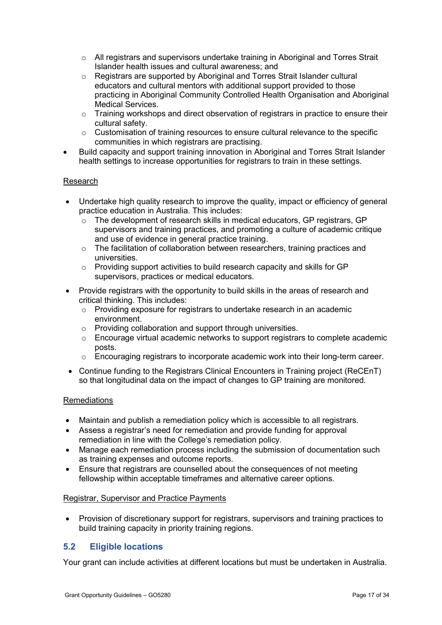- o All registrars and supervisors undertake training in Aboriginal and Torres Strait Islander health issues and cultural awareness; and
- o Registrars are supported by Aboriginal and Torres Strait Islander cultural educators and cultural mentors with additional support provided to those practicing in Aboriginal Community Controlled Health Organisation and Aboriginal Medical Services.
- $\circ$  Training workshops and direct observation of registrars in practice to ensure their cultural safety.
- o Customisation of training resources to ensure cultural relevance to the specific communities in which registrars are practising.
- Build capacity and support training innovation in Aboriginal and Torres Strait Islander health settings to increase opportunities for registrars to train in these settings.

### Research

- Undertake high quality research to improve the quality, impact or efficiency of general practice education in Australia. This includes:
	- o The development of research skills in medical educators, GP registrars, GP supervisors and training practices, and promoting a culture of academic critique and use of evidence in general practice training.
	- $\circ$  The facilitation of collaboration between researchers, training practices and universities.
	- o Providing support activities to build research capacity and skills for GP supervisors, practices or medical educators.
- Provide registrars with the opportunity to build skills in the areas of research and critical thinking. This includes:
	- o Providing exposure for registrars to undertake research in an academic environment.
	- o Providing collaboration and support through universities.
	- $\circ$  Encourage virtual academic networks to support registrars to complete academic posts.
	- o Encouraging registrars to incorporate academic work into their long-term career.
- Continue funding to the Registrars Clinical Encounters in Training project (ReCEnT) so that longitudinal data on the impact of changes to GP training are monitored.

### Remediations

- Maintain and publish a remediation policy which is accessible to all registrars.
- Assess a registrar's need for remediation and provide funding for approval remediation in line with the College's remediation policy.
- Manage each remediation process including the submission of documentation such as training expenses and outcome reports.
- Ensure that registrars are counselled about the consequences of not meeting fellowship within acceptable timeframes and alternative career options.

### Registrar, Supervisor and Practice Payments

 Provision of discretionary support for registrars, supervisors and training practices to build training capacity in priority training regions.

## 5.2 Eligible locations

Your grant can include activities at different locations but must be undertaken in Australia.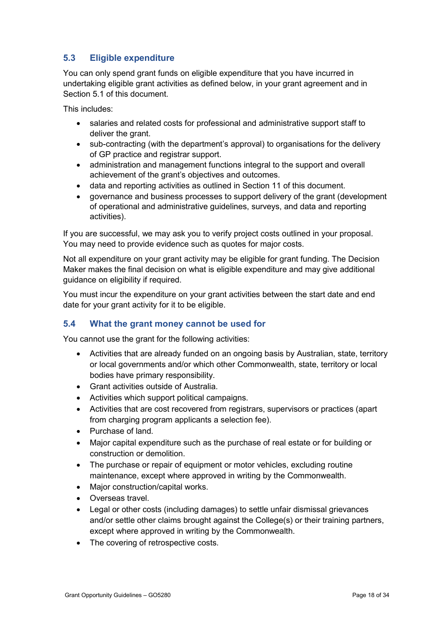## 5.3 Eligible expenditure

You can only spend grant funds on eligible expenditure that you have incurred in undertaking eligible grant activities as defined below, in your grant agreement and in Section 5.1 of this document.

This includes:

- salaries and related costs for professional and administrative support staff to deliver the grant.
- sub-contracting (with the department's approval) to organisations for the delivery of GP practice and registrar support.
- administration and management functions integral to the support and overall achievement of the grant's objectives and outcomes.
- data and reporting activities as outlined in Section 11 of this document.
- governance and business processes to support delivery of the grant (development of operational and administrative guidelines, surveys, and data and reporting activities).

If you are successful, we may ask you to verify project costs outlined in your proposal. You may need to provide evidence such as quotes for major costs.

Not all expenditure on your grant activity may be eligible for grant funding. The Decision Maker makes the final decision on what is eligible expenditure and may give additional guidance on eligibility if required.

You must incur the expenditure on your grant activities between the start date and end date for your grant activity for it to be eligible.

### 5.4 What the grant money cannot be used for

You cannot use the grant for the following activities:

- Activities that are already funded on an ongoing basis by Australian, state, territory or local governments and/or which other Commonwealth, state, territory or local bodies have primary responsibility.
- Grant activities outside of Australia.
- Activities which support political campaigns.
- Activities that are cost recovered from registrars, supervisors or practices (apart from charging program applicants a selection fee).
- Purchase of land.
- Major capital expenditure such as the purchase of real estate or for building or construction or demolition.
- The purchase or repair of equipment or motor vehicles, excluding routine maintenance, except where approved in writing by the Commonwealth.
- Major construction/capital works.
- Overseas travel.
- Legal or other costs (including damages) to settle unfair dismissal grievances and/or settle other claims brought against the College(s) or their training partners, except where approved in writing by the Commonwealth.
- The covering of retrospective costs.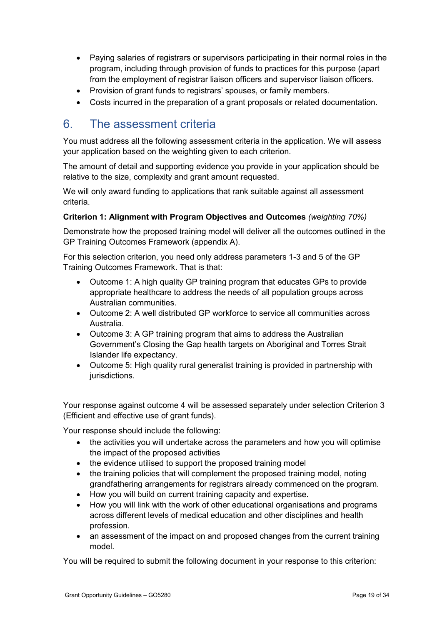- Paying salaries of registrars or supervisors participating in their normal roles in the program, including through provision of funds to practices for this purpose (apart from the employment of registrar liaison officers and supervisor liaison officers.
- Provision of grant funds to registrars' spouses, or family members.
- Costs incurred in the preparation of a grant proposals or related documentation.

## 6. The assessment criteria

You must address all the following assessment criteria in the application. We will assess your application based on the weighting given to each criterion.

The amount of detail and supporting evidence you provide in your application should be relative to the size, complexity and grant amount requested.

We will only award funding to applications that rank suitable against all assessment criteria.

### Criterion 1: Alignment with Program Objectives and Outcomes (weighting 70%)

Demonstrate how the proposed training model will deliver all the outcomes outlined in the GP Training Outcomes Framework (appendix A).

For this selection criterion, you need only address parameters 1-3 and 5 of the GP Training Outcomes Framework. That is that:

- Outcome 1: A high quality GP training program that educates GPs to provide appropriate healthcare to address the needs of all population groups across Australian communities.
- Outcome 2: A well distributed GP workforce to service all communities across Australia.
- Outcome 3: A GP training program that aims to address the Australian Government's Closing the Gap health targets on Aboriginal and Torres Strait Islander life expectancy.
- Outcome 5: High quality rural generalist training is provided in partnership with jurisdictions.

Your response against outcome 4 will be assessed separately under selection Criterion 3 (Efficient and effective use of grant funds).

Your response should include the following:

- the activities you will undertake across the parameters and how you will optimise the impact of the proposed activities
- the evidence utilised to support the proposed training model
- the training policies that will complement the proposed training model, noting grandfathering arrangements for registrars already commenced on the program.
- How you will build on current training capacity and expertise.
- How you will link with the work of other educational organisations and programs across different levels of medical education and other disciplines and health profession.
- an assessment of the impact on and proposed changes from the current training model.

You will be required to submit the following document in your response to this criterion: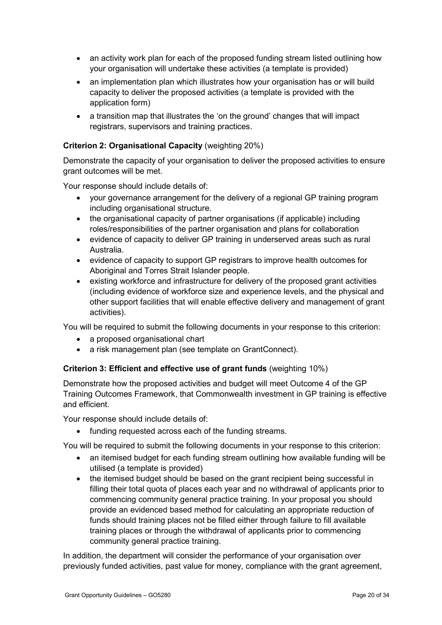- an activity work plan for each of the proposed funding stream listed outlining how your organisation will undertake these activities (a template is provided)
- an implementation plan which illustrates how your organisation has or will build capacity to deliver the proposed activities (a template is provided with the application form)
- a transition map that illustrates the 'on the ground' changes that will impact registrars, supervisors and training practices.

### Criterion 2: Organisational Capacity (weighting 20%)

Demonstrate the capacity of your organisation to deliver the proposed activities to ensure grant outcomes will be met.

Your response should include details of:

- your governance arrangement for the delivery of a regional GP training program including organisational structure.
- the organisational capacity of partner organisations (if applicable) including roles/responsibilities of the partner organisation and plans for collaboration
- evidence of capacity to deliver GP training in underserved areas such as rural Australia.
- evidence of capacity to support GP registrars to improve health outcomes for Aboriginal and Torres Strait Islander people.
- existing workforce and infrastructure for delivery of the proposed grant activities (including evidence of workforce size and experience levels, and the physical and other support facilities that will enable effective delivery and management of grant activities).

You will be required to submit the following documents in your response to this criterion:

- a proposed organisational chart
- a risk management plan (see template on GrantConnect).

### Criterion 3: Efficient and effective use of grant funds (weighting 10%)

Demonstrate how the proposed activities and budget will meet Outcome 4 of the GP Training Outcomes Framework, that Commonwealth investment in GP training is effective and efficient.

Your response should include details of:

• funding requested across each of the funding streams.

You will be required to submit the following documents in your response to this criterion:

- an itemised budget for each funding stream outlining how available funding will be utilised (a template is provided)
- the itemised budget should be based on the grant recipient being successful in filling their total quota of places each year and no withdrawal of applicants prior to commencing community general practice training. In your proposal you should provide an evidenced based method for calculating an appropriate reduction of funds should training places not be filled either through failure to fill available training places or through the withdrawal of applicants prior to commencing community general practice training.

In addition, the department will consider the performance of your organisation over previously funded activities, past value for money, compliance with the grant agreement,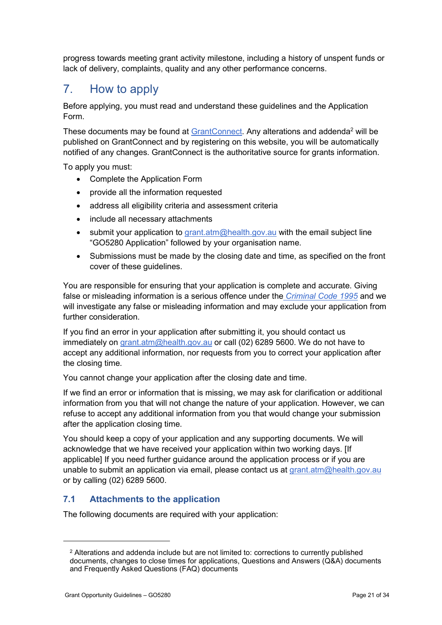progress towards meeting grant activity milestone, including a history of unspent funds or lack of delivery, complaints, quality and any other performance concerns.

## 7. How to apply

Before applying, you must read and understand these guidelines and the Application Form.

These documents may be found at GrantConnect. Any alterations and addenda<sup>2</sup> will be published on GrantConnect and by registering on this website, you will be automatically notified of any changes. GrantConnect is the authoritative source for grants information.

To apply you must:

- Complete the Application Form
- provide all the information requested
- address all eligibility criteria and assessment criteria
- include all necessary attachments
- **submit your application to grant.atm@health.gov.au with the email subject line** "GO5280 Application" followed by your organisation name.
- Submissions must be made by the closing date and time, as specified on the front cover of these guidelines.

You are responsible for ensuring that your application is complete and accurate. Giving false or misleading information is a serious offence under the *Criminal Code 1995* and we will investigate any false or misleading information and may exclude your application from further consideration.

If you find an error in your application after submitting it, you should contact us immediately on grant.atm@health.gov.au or call (02) 6289 5600. We do not have to accept any additional information, nor requests from you to correct your application after the closing time.

You cannot change your application after the closing date and time.

If we find an error or information that is missing, we may ask for clarification or additional information from you that will not change the nature of your application. However, we can refuse to accept any additional information from you that would change your submission after the application closing time.

You should keep a copy of your application and any supporting documents. We will acknowledge that we have received your application within two working days. [If applicable] If you need further guidance around the application process or if you are unable to submit an application via email, please contact us at grant.atm@health.gov.au or by calling (02) 6289 5600.

### 7.1 Attachments to the application

The following documents are required with your application:

-

<sup>&</sup>lt;sup>2</sup> Alterations and addenda include but are not limited to: corrections to currently published documents, changes to close times for applications, Questions and Answers (Q&A) documents and Frequently Asked Questions (FAQ) documents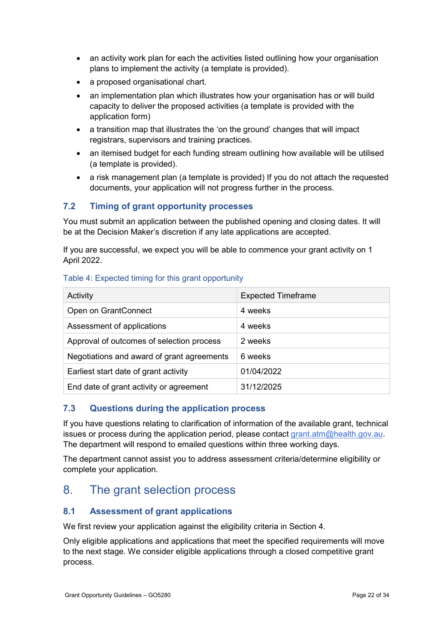- an activity work plan for each the activities listed outlining how your organisation plans to implement the activity (a template is provided).
- a proposed organisational chart.
- an implementation plan which illustrates how your organisation has or will build capacity to deliver the proposed activities (a template is provided with the application form)
- a transition map that illustrates the 'on the ground' changes that will impact registrars, supervisors and training practices.
- an itemised budget for each funding stream outlining how available will be utilised (a template is provided).
- a risk management plan (a template is provided) If you do not attach the requested documents, your application will not progress further in the process.

### 7.2 Timing of grant opportunity processes

You must submit an application between the published opening and closing dates. It will be at the Decision Maker's discretion if any late applications are accepted.

If you are successful, we expect you will be able to commence your grant activity on 1 April 2022.

### Table 4: Expected timing for this grant opportunity

| Activity                                   | <b>Expected Timeframe</b> |
|--------------------------------------------|---------------------------|
| Open on GrantConnect                       | 4 weeks                   |
| Assessment of applications                 | 4 weeks                   |
| Approval of outcomes of selection process  | 2 weeks                   |
| Negotiations and award of grant agreements | 6 weeks                   |
| Earliest start date of grant activity      | 01/04/2022                |
| End date of grant activity or agreement    | 31/12/2025                |

### 7.3 Questions during the application process

If you have questions relating to clarification of information of the available grant, technical issues or process during the application period, please contact grant.atm@health.gov.au. The department will respond to emailed questions within three working days.

The department cannot assist you to address assessment criteria/determine eligibility or complete your application.

## 8. The grant selection process

### 8.1 Assessment of grant applications

We first review your application against the eligibility criteria in Section 4.

Only eligible applications and applications that meet the specified requirements will move to the next stage. We consider eligible applications through a closed competitive grant process.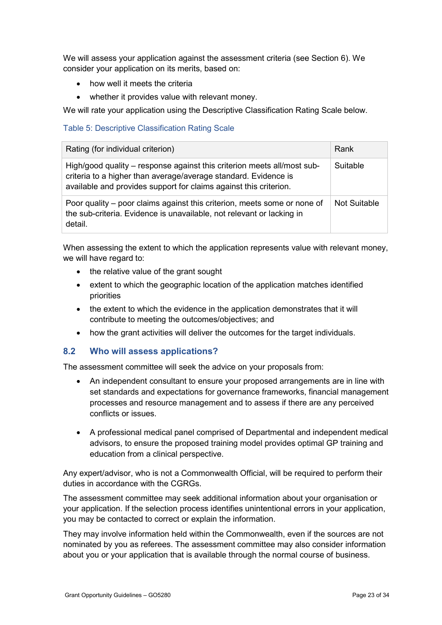We will assess your application against the assessment criteria (see Section 6). We consider your application on its merits, based on:

- how well it meets the criteria
- whether it provides value with relevant money.

We will rate your application using the Descriptive Classification Rating Scale below.

### Table 5: Descriptive Classification Rating Scale

| Rating (for individual criterion)                                                                                                                                                                               | Rank         |
|-----------------------------------------------------------------------------------------------------------------------------------------------------------------------------------------------------------------|--------------|
| High/good quality – response against this criterion meets all/most sub-<br>criteria to a higher than average/average standard. Evidence is<br>available and provides support for claims against this criterion. | Suitable     |
| Poor quality – poor claims against this criterion, meets some or none of<br>the sub-criteria. Evidence is unavailable, not relevant or lacking in<br>detail.                                                    | Not Suitable |

When assessing the extent to which the application represents value with relevant money, we will have regard to:

- the relative value of the grant sought
- extent to which the geographic location of the application matches identified priorities
- the extent to which the evidence in the application demonstrates that it will contribute to meeting the outcomes/objectives; and
- how the grant activities will deliver the outcomes for the target individuals.

### 8.2 Who will assess applications?

The assessment committee will seek the advice on your proposals from:

- An independent consultant to ensure your proposed arrangements are in line with set standards and expectations for governance frameworks, financial management processes and resource management and to assess if there are any perceived conflicts or issues.
- A professional medical panel comprised of Departmental and independent medical advisors, to ensure the proposed training model provides optimal GP training and education from a clinical perspective.

Any expert/advisor, who is not a Commonwealth Official, will be required to perform their duties in accordance with the CGRGs.

The assessment committee may seek additional information about your organisation or your application. If the selection process identifies unintentional errors in your application, you may be contacted to correct or explain the information.

They may involve information held within the Commonwealth, even if the sources are not nominated by you as referees. The assessment committee may also consider information about you or your application that is available through the normal course of business.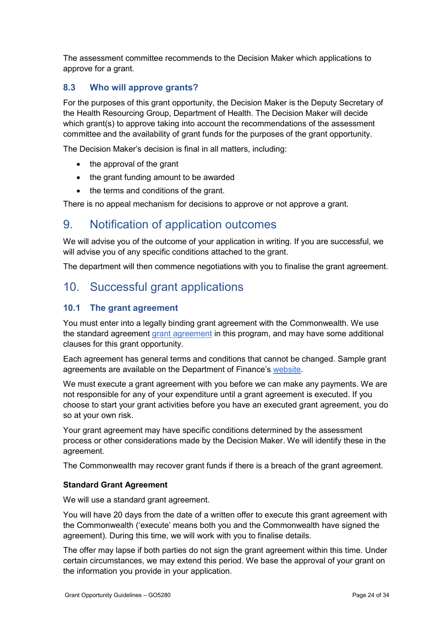The assessment committee recommends to the Decision Maker which applications to approve for a grant.

## 8.3 Who will approve grants?

For the purposes of this grant opportunity, the Decision Maker is the Deputy Secretary of the Health Resourcing Group, Department of Health. The Decision Maker will decide which grant(s) to approve taking into account the recommendations of the assessment committee and the availability of grant funds for the purposes of the grant opportunity.

The Decision Maker's decision is final in all matters, including:

- the approval of the grant
- the grant funding amount to be awarded
- the terms and conditions of the grant.

There is no appeal mechanism for decisions to approve or not approve a grant.

## 9. Notification of application outcomes

We will advise you of the outcome of your application in writing. If you are successful, we will advise you of any specific conditions attached to the grant.

The department will then commence negotiations with you to finalise the grant agreement.

## 10. Successful grant applications

### 10.1 The grant agreement

You must enter into a legally binding grant agreement with the Commonwealth. We use the standard agreement grant agreement in this program, and may have some additional clauses for this grant opportunity.

Each agreement has general terms and conditions that cannot be changed. Sample grant agreements are available on the Department of Finance's website.

We must execute a grant agreement with you before we can make any payments. We are not responsible for any of your expenditure until a grant agreement is executed. If you choose to start your grant activities before you have an executed grant agreement, you do so at your own risk.

Your grant agreement may have specific conditions determined by the assessment process or other considerations made by the Decision Maker. We will identify these in the agreement.

The Commonwealth may recover grant funds if there is a breach of the grant agreement.

### Standard Grant Agreement

We will use a standard grant agreement.

You will have 20 days from the date of a written offer to execute this grant agreement with the Commonwealth ('execute' means both you and the Commonwealth have signed the agreement). During this time, we will work with you to finalise details.

The offer may lapse if both parties do not sign the grant agreement within this time. Under certain circumstances, we may extend this period. We base the approval of your grant on the information you provide in your application.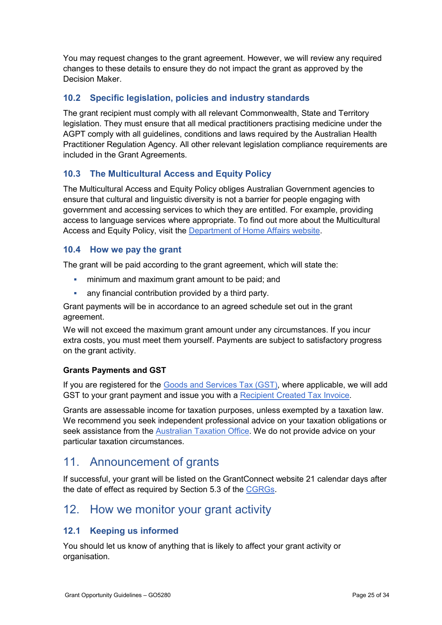You may request changes to the grant agreement. However, we will review any required changes to these details to ensure they do not impact the grant as approved by the Decision Maker.

## 10.2 Specific legislation, policies and industry standards

The grant recipient must comply with all relevant Commonwealth, State and Territory legislation. They must ensure that all medical practitioners practising medicine under the AGPT comply with all guidelines, conditions and laws required by the Australian Health Practitioner Regulation Agency. All other relevant legislation compliance requirements are included in the Grant Agreements.

### 10.3 The Multicultural Access and Equity Policy

The Multicultural Access and Equity Policy obliges Australian Government agencies to ensure that cultural and linguistic diversity is not a barrier for people engaging with government and accessing services to which they are entitled. For example, providing access to language services where appropriate. To find out more about the Multicultural Access and Equity Policy, visit the Department of Home Affairs website.

### 10.4 How we pay the grant

The grant will be paid according to the grant agreement, which will state the:

- **F** minimum and maximum grant amount to be paid; and
- any financial contribution provided by a third party.

Grant payments will be in accordance to an agreed schedule set out in the grant agreement.

We will not exceed the maximum grant amount under any circumstances. If you incur extra costs, you must meet them yourself. Payments are subject to satisfactory progress on the grant activity.

### Grants Payments and GST

If you are registered for the Goods and Services Tax (GST), where applicable, we will add GST to your grant payment and issue you with a Recipient Created Tax Invoice.

Grants are assessable income for taxation purposes, unless exempted by a taxation law. We recommend you seek independent professional advice on your taxation obligations or seek assistance from the Australian Taxation Office. We do not provide advice on your particular taxation circumstances.

## 11. Announcement of grants

If successful, your grant will be listed on the GrantConnect website 21 calendar days after the date of effect as required by Section 5.3 of the CGRGs.

## 12. How we monitor your grant activity

### 12.1 Keeping us informed

You should let us know of anything that is likely to affect your grant activity or organisation.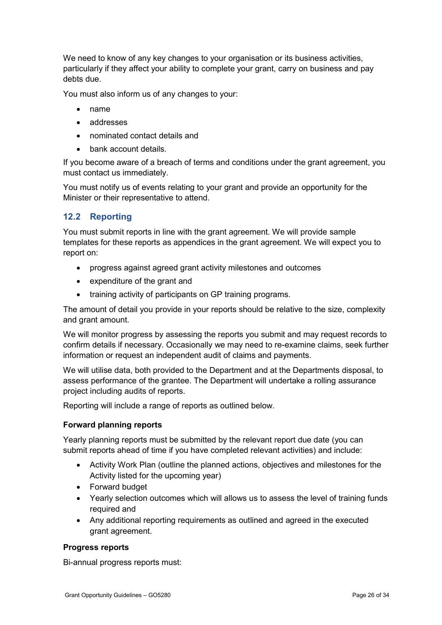We need to know of any key changes to your organisation or its business activities, particularly if they affect your ability to complete your grant, carry on business and pay debts due.

You must also inform us of any changes to your:

- name
- addresses
- nominated contact details and
- bank account details.

If you become aware of a breach of terms and conditions under the grant agreement, you must contact us immediately.

You must notify us of events relating to your grant and provide an opportunity for the Minister or their representative to attend.

### 12.2 Reporting

You must submit reports in line with the grant agreement. We will provide sample templates for these reports as appendices in the grant agreement. We will expect you to report on:

- progress against agreed grant activity milestones and outcomes
- expenditure of the grant and
- training activity of participants on GP training programs.

The amount of detail you provide in your reports should be relative to the size, complexity and grant amount.

We will monitor progress by assessing the reports you submit and may request records to confirm details if necessary. Occasionally we may need to re-examine claims, seek further information or request an independent audit of claims and payments.

We will utilise data, both provided to the Department and at the Departments disposal, to assess performance of the grantee. The Department will undertake a rolling assurance project including audits of reports.

Reporting will include a range of reports as outlined below.

### Forward planning reports

Yearly planning reports must be submitted by the relevant report due date (you can submit reports ahead of time if you have completed relevant activities) and include:

- Activity Work Plan (outline the planned actions, objectives and milestones for the Activity listed for the upcoming year)
- Forward budget
- Yearly selection outcomes which will allows us to assess the level of training funds required and
- Any additional reporting requirements as outlined and agreed in the executed grant agreement.

### Progress reports

Bi-annual progress reports must: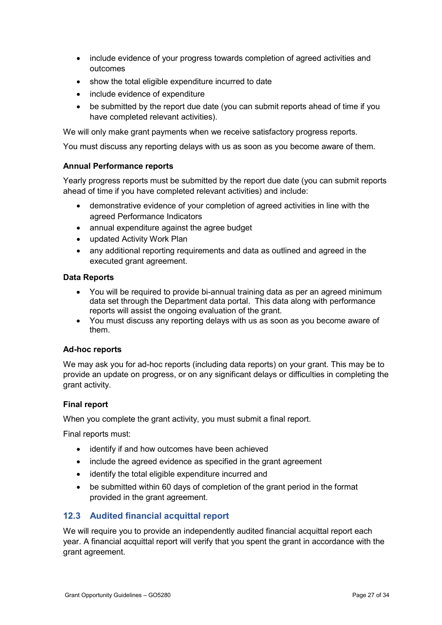- include evidence of your progress towards completion of agreed activities and outcomes
- show the total eligible expenditure incurred to date
- include evidence of expenditure
- be submitted by the report due date (you can submit reports ahead of time if you have completed relevant activities).

We will only make grant payments when we receive satisfactory progress reports.

You must discuss any reporting delays with us as soon as you become aware of them.

### Annual Performance reports

Yearly progress reports must be submitted by the report due date (you can submit reports ahead of time if you have completed relevant activities) and include:

- demonstrative evidence of your completion of agreed activities in line with the agreed Performance Indicators
- annual expenditure against the agree budget
- updated Activity Work Plan
- any additional reporting requirements and data as outlined and agreed in the executed grant agreement.

### Data Reports

- You will be required to provide bi-annual training data as per an agreed minimum data set through the Department data portal. This data along with performance reports will assist the ongoing evaluation of the grant.
- You must discuss any reporting delays with us as soon as you become aware of them.

### Ad-hoc reports

We may ask you for ad-hoc reports (including data reports) on your grant. This may be to provide an update on progress, or on any significant delays or difficulties in completing the grant activity.

### Final report

When you complete the grant activity, you must submit a final report.

Final reports must:

- identify if and how outcomes have been achieved
- include the agreed evidence as specified in the grant agreement
- identify the total eligible expenditure incurred and
- be submitted within 60 days of completion of the grant period in the format provided in the grant agreement.

## 12.3 Audited financial acquittal report

We will require you to provide an independently audited financial acquittal report each year. A financial acquittal report will verify that you spent the grant in accordance with the grant agreement.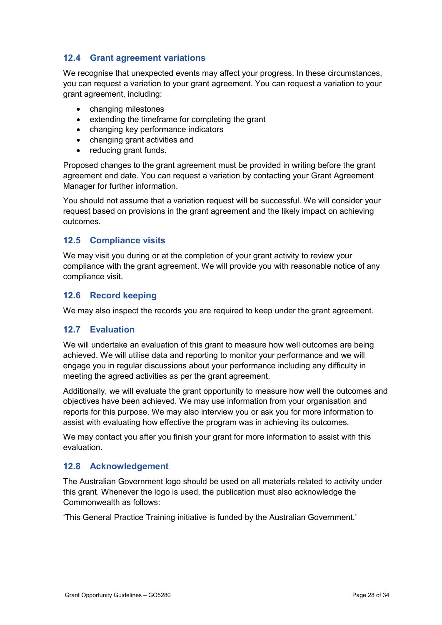### 12.4 Grant agreement variations

We recognise that unexpected events may affect your progress. In these circumstances, you can request a variation to your grant agreement. You can request a variation to your grant agreement, including:

- changing milestones
- extending the timeframe for completing the grant
- changing key performance indicators
- changing grant activities and
- reducing grant funds.

Proposed changes to the grant agreement must be provided in writing before the grant agreement end date. You can request a variation by contacting your Grant Agreement Manager for further information.

You should not assume that a variation request will be successful. We will consider your request based on provisions in the grant agreement and the likely impact on achieving outcomes.

### 12.5 Compliance visits

We may visit you during or at the completion of your grant activity to review your compliance with the grant agreement. We will provide you with reasonable notice of any compliance visit.

### 12.6 Record keeping

We may also inspect the records you are required to keep under the grant agreement.

### 12.7 Evaluation

We will undertake an evaluation of this grant to measure how well outcomes are being achieved. We will utilise data and reporting to monitor your performance and we will engage you in regular discussions about your performance including any difficulty in meeting the agreed activities as per the grant agreement.

Additionally, we will evaluate the grant opportunity to measure how well the outcomes and objectives have been achieved. We may use information from your organisation and reports for this purpose. We may also interview you or ask you for more information to assist with evaluating how effective the program was in achieving its outcomes.

We may contact you after you finish your grant for more information to assist with this evaluation.

### 12.8 Acknowledgement

The Australian Government logo should be used on all materials related to activity under this grant. Whenever the logo is used, the publication must also acknowledge the Commonwealth as follows:

'This General Practice Training initiative is funded by the Australian Government.'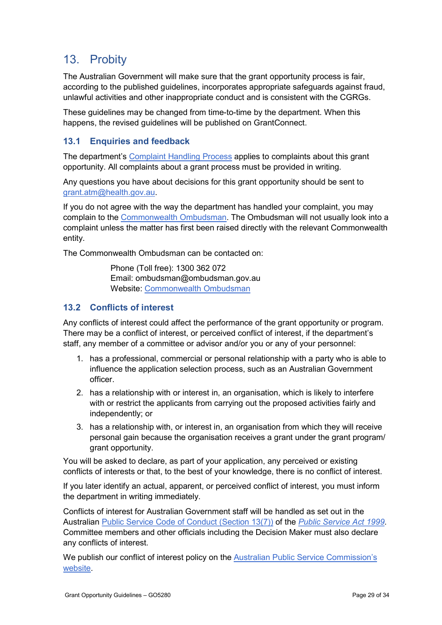## 13. Probity

The Australian Government will make sure that the grant opportunity process is fair, according to the published guidelines, incorporates appropriate safeguards against fraud, unlawful activities and other inappropriate conduct and is consistent with the CGRGs.

These guidelines may be changed from time-to-time by the department. When this happens, the revised guidelines will be published on GrantConnect.

## 13.1 Enquiries and feedback

The department's Complaint Handling Process applies to complaints about this grant opportunity. All complaints about a grant process must be provided in writing.

Any questions you have about decisions for this grant opportunity should be sent to grant.atm@health.gov.au.

If you do not agree with the way the department has handled your complaint, you may complain to the Commonwealth Ombudsman. The Ombudsman will not usually look into a complaint unless the matter has first been raised directly with the relevant Commonwealth entity.

The Commonwealth Ombudsman can be contacted on:

 Phone (Toll free): 1300 362 072 Email: ombudsman@ombudsman.gov.au Website: Commonwealth Ombudsman

## 13.2 Conflicts of interest

Any conflicts of interest could affect the performance of the grant opportunity or program. There may be a conflict of interest, or perceived conflict of interest, if the department's staff, any member of a committee or advisor and/or you or any of your personnel:

- 1. has a professional, commercial or personal relationship with a party who is able to influence the application selection process, such as an Australian Government officer.
- 2. has a relationship with or interest in, an organisation, which is likely to interfere with or restrict the applicants from carrying out the proposed activities fairly and independently; or
- 3. has a relationship with, or interest in, an organisation from which they will receive personal gain because the organisation receives a grant under the grant program/ grant opportunity.

You will be asked to declare, as part of your application, any perceived or existing conflicts of interests or that, to the best of your knowledge, there is no conflict of interest.

If you later identify an actual, apparent, or perceived conflict of interest, you must inform the department in writing immediately.

Conflicts of interest for Australian Government staff will be handled as set out in the Australian Public Service Code of Conduct (Section 13(7)) of the Public Service Act 1999. Committee members and other officials including the Decision Maker must also declare any conflicts of interest.

We publish our conflict of interest policy on the Australian Public Service Commission's website.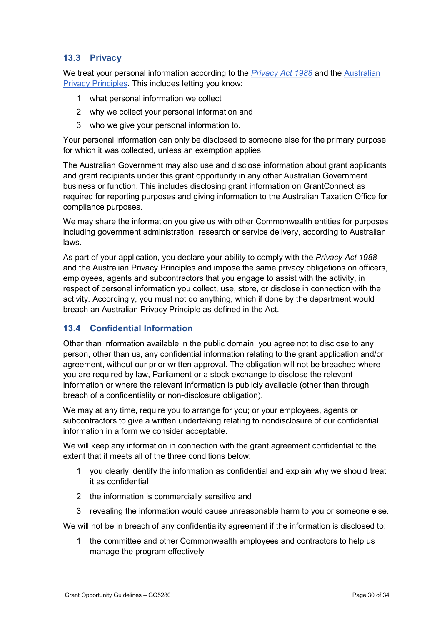### 13.3 Privacy

We treat your personal information according to the *Privacy Act 1988* and the Australian Privacy Principles. This includes letting you know:

- 1. what personal information we collect
- 2. why we collect your personal information and
- 3. who we give your personal information to.

Your personal information can only be disclosed to someone else for the primary purpose for which it was collected, unless an exemption applies.

The Australian Government may also use and disclose information about grant applicants and grant recipients under this grant opportunity in any other Australian Government business or function. This includes disclosing grant information on GrantConnect as required for reporting purposes and giving information to the Australian Taxation Office for compliance purposes.

We may share the information you give us with other Commonwealth entities for purposes including government administration, research or service delivery, according to Australian laws.

As part of your application, you declare your ability to comply with the *Privacy Act 1988* and the Australian Privacy Principles and impose the same privacy obligations on officers, employees, agents and subcontractors that you engage to assist with the activity, in respect of personal information you collect, use, store, or disclose in connection with the activity. Accordingly, you must not do anything, which if done by the department would breach an Australian Privacy Principle as defined in the Act.

## 13.4 Confidential Information

Other than information available in the public domain, you agree not to disclose to any person, other than us, any confidential information relating to the grant application and/or agreement, without our prior written approval. The obligation will not be breached where you are required by law, Parliament or a stock exchange to disclose the relevant information or where the relevant information is publicly available (other than through breach of a confidentiality or non-disclosure obligation).

We may at any time, require you to arrange for you; or your employees, agents or subcontractors to give a written undertaking relating to nondisclosure of our confidential information in a form we consider acceptable.

We will keep any information in connection with the grant agreement confidential to the extent that it meets all of the three conditions below:

- 1. you clearly identify the information as confidential and explain why we should treat it as confidential
- 2. the information is commercially sensitive and
- 3. revealing the information would cause unreasonable harm to you or someone else.

We will not be in breach of any confidentiality agreement if the information is disclosed to:

1. the committee and other Commonwealth employees and contractors to help us manage the program effectively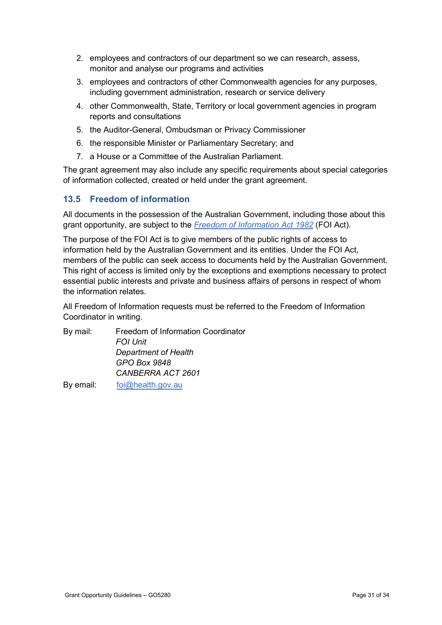- 2. employees and contractors of our department so we can research, assess, monitor and analyse our programs and activities
- 3. employees and contractors of other Commonwealth agencies for any purposes, including government administration, research or service delivery
- 4. other Commonwealth, State, Territory or local government agencies in program reports and consultations
- 5. the Auditor-General, Ombudsman or Privacy Commissioner
- 6. the responsible Minister or Parliamentary Secretary; and
- 7. a House or a Committee of the Australian Parliament.

The grant agreement may also include any specific requirements about special categories of information collected, created or held under the grant agreement.

### 13.5 Freedom of information

All documents in the possession of the Australian Government, including those about this grant opportunity, are subject to the Freedom of Information Act 1982 (FOI Act).

The purpose of the FOI Act is to give members of the public rights of access to information held by the Australian Government and its entities. Under the FOI Act, members of the public can seek access to documents held by the Australian Government. This right of access is limited only by the exceptions and exemptions necessary to protect essential public interests and private and business affairs of persons in respect of whom the information relates.

All Freedom of Information requests must be referred to the Freedom of Information Coordinator in writing.

| By mail:  | Freedom of Information Coordinator |
|-----------|------------------------------------|
|           | <b>FOI Unit</b>                    |
|           | Department of Health               |
|           | GPO Box 9848                       |
|           | CANBERRA ACT 2601                  |
| By email: | foi@health.gov.au                  |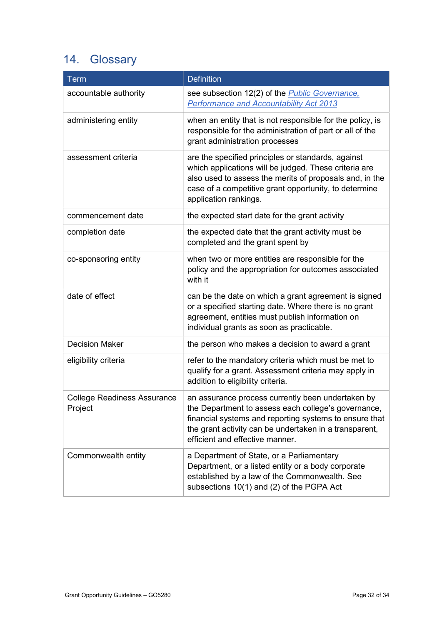# 14. Glossary

| <b>Term</b>                                   | <b>Definition</b>                                                                                                                                                                                                                                               |
|-----------------------------------------------|-----------------------------------------------------------------------------------------------------------------------------------------------------------------------------------------------------------------------------------------------------------------|
| accountable authority                         | see subsection 12(2) of the <b>Public Governance</b> ,<br><b>Performance and Accountability Act 2013</b>                                                                                                                                                        |
| administering entity                          | when an entity that is not responsible for the policy, is<br>responsible for the administration of part or all of the<br>grant administration processes                                                                                                         |
| assessment criteria                           | are the specified principles or standards, against<br>which applications will be judged. These criteria are<br>also used to assess the merits of proposals and, in the<br>case of a competitive grant opportunity, to determine<br>application rankings.        |
| commencement date                             | the expected start date for the grant activity                                                                                                                                                                                                                  |
| completion date                               | the expected date that the grant activity must be<br>completed and the grant spent by                                                                                                                                                                           |
| co-sponsoring entity                          | when two or more entities are responsible for the<br>policy and the appropriation for outcomes associated<br>with it                                                                                                                                            |
| date of effect                                | can be the date on which a grant agreement is signed<br>or a specified starting date. Where there is no grant<br>agreement, entities must publish information on<br>individual grants as soon as practicable.                                                   |
| <b>Decision Maker</b>                         | the person who makes a decision to award a grant                                                                                                                                                                                                                |
| eligibility criteria                          | refer to the mandatory criteria which must be met to<br>qualify for a grant. Assessment criteria may apply in<br>addition to eligibility criteria.                                                                                                              |
| <b>College Readiness Assurance</b><br>Project | an assurance process currently been undertaken by<br>the Department to assess each college's governance,<br>financial systems and reporting systems to ensure that<br>the grant activity can be undertaken in a transparent,<br>efficient and effective manner. |
| Commonwealth entity                           | a Department of State, or a Parliamentary<br>Department, or a listed entity or a body corporate<br>established by a law of the Commonwealth. See<br>subsections 10(1) and (2) of the PGPA Act                                                                   |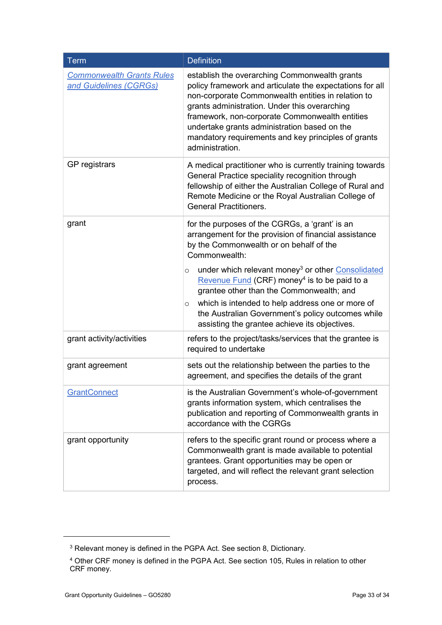| <b>Term</b>                                                | <b>Definition</b>                                                                                                                                                                                                                                                                                                                                                                            |
|------------------------------------------------------------|----------------------------------------------------------------------------------------------------------------------------------------------------------------------------------------------------------------------------------------------------------------------------------------------------------------------------------------------------------------------------------------------|
| <b>Commonwealth Grants Rules</b><br>and Guidelines (CGRGs) | establish the overarching Commonwealth grants<br>policy framework and articulate the expectations for all<br>non-corporate Commonwealth entities in relation to<br>grants administration. Under this overarching<br>framework, non-corporate Commonwealth entities<br>undertake grants administration based on the<br>mandatory requirements and key principles of grants<br>administration. |
| GP registrars                                              | A medical practitioner who is currently training towards<br>General Practice speciality recognition through<br>fellowship of either the Australian College of Rural and<br>Remote Medicine or the Royal Australian College of<br><b>General Practitioners.</b>                                                                                                                               |
| grant                                                      | for the purposes of the CGRGs, a 'grant' is an<br>arrangement for the provision of financial assistance<br>by the Commonwealth or on behalf of the<br>Commonwealth:                                                                                                                                                                                                                          |
|                                                            | under which relevant money <sup>3</sup> or other Consolidated<br>O<br>Revenue Fund (CRF) money <sup>4</sup> is to be paid to a<br>grantee other than the Commonwealth; and                                                                                                                                                                                                                   |
|                                                            | which is intended to help address one or more of<br>$\circ$<br>the Australian Government's policy outcomes while<br>assisting the grantee achieve its objectives.                                                                                                                                                                                                                            |
| grant activity/activities                                  | refers to the project/tasks/services that the grantee is<br>required to undertake                                                                                                                                                                                                                                                                                                            |
| grant agreement                                            | sets out the relationship between the parties to the<br>agreement, and specifies the details of the grant                                                                                                                                                                                                                                                                                    |
| <b>GrantConnect</b>                                        | is the Australian Government's whole-of-government<br>grants information system, which centralises the<br>publication and reporting of Commonwealth grants in<br>accordance with the CGRGs                                                                                                                                                                                                   |
| grant opportunity                                          | refers to the specific grant round or process where a<br>Commonwealth grant is made available to potential<br>grantees. Grant opportunities may be open or<br>targeted, and will reflect the relevant grant selection<br>process.                                                                                                                                                            |

-

<sup>3</sup> Relevant money is defined in the PGPA Act. See section 8, Dictionary.

<sup>4</sup> Other CRF money is defined in the PGPA Act. See section 105, Rules in relation to other CRF money.